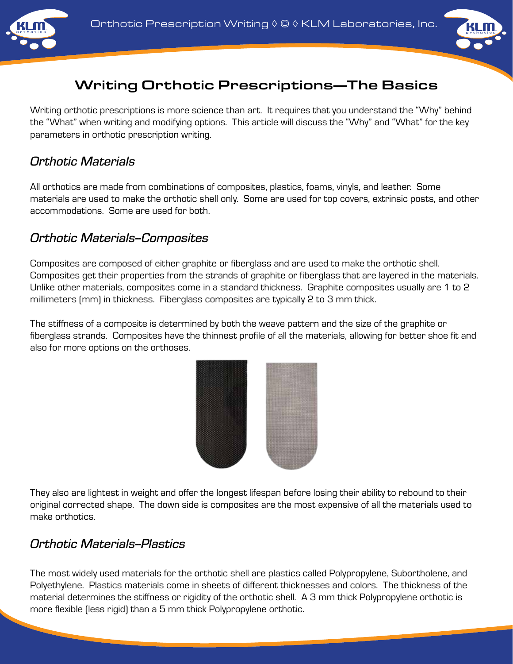



# Writing Orthotic Prescriptions—The Basics

Writing orthotic prescriptions is more science than art. It requires that you understand the "Why" behind the "What" when writing and modifying options. This article will discuss the "Why" and "What" for the key parameters in orthotic prescription writing.

#### *Orthotic Materials*

All orthotics are made from combinations of composites, plastics, foams, vinyls, and leather. Some materials are used to make the orthotic shell only. Some are used for top covers, extrinsic posts, and other accommodations. Some are used for both.

#### *Orthotic Materials--Composites*

Composites are composed of either graphite or fiberglass and are used to make the orthotic shell. Composites get their properties from the strands of graphite or fiberglass that are layered in the materials. Unlike other materials, composites come in a standard thickness. Graphite composites usually are 1 to 2 millimeters (mm) in thickness. Fiberglass composites are typically 2 to 3 mm thick.

The stiffness of a composite is determined by both the weave pattern and the size of the graphite or fiberglass strands. Composites have the thinnest profile of all the materials, allowing for better shoe fit and also for more options on the orthoses.



They also are lightest in weight and offer the longest lifespan before losing their ability to rebound to their original corrected shape. The down side is composites are the most expensive of all the materials used to make orthotics.

#### *Orthotic Materials--Plastics*

The most widely used materials for the orthotic shell are plastics called Polypropylene, Subortholene, and Polyethylene. Plastics materials come in sheets of different thicknesses and colors. The thickness of the material determines the stiffness or rigidity of the orthotic shell. A 3 mm thick Polypropylene orthotic is more flexible (less rigid) than a 5 mm thick Polypropylene orthotic.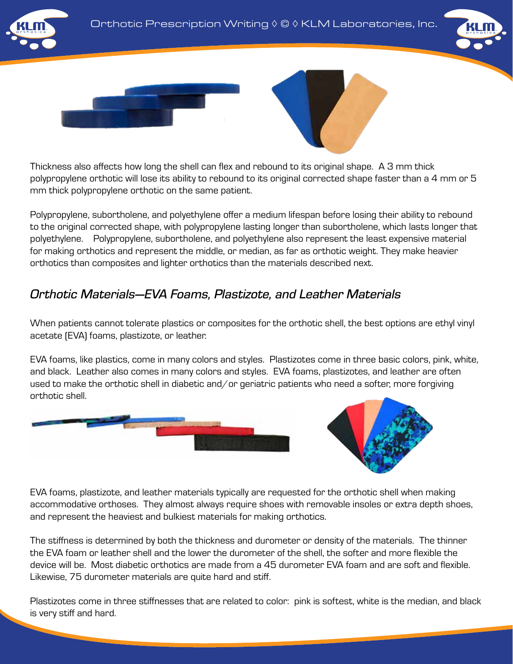

Thickness also affects how long the shell can flex and rebound to its original shape. A 3 mm thick polypropylene orthotic will lose its ability to rebound to its original corrected shape faster than a 4 mm or 5 mm thick polypropylene orthotic on the same patient.

Polypropylene, subortholene, and polyethylene offer a medium lifespan before losing their ability to rebound to the original corrected shape, with polypropylene lasting longer than subortholene, which lasts longer that polyethylene. Polypropylene, subortholene, and polyethylene also represent the least expensive material for making orthotics and represent the middle, or median, as far as orthotic weight. They make heavier orthotics than composites and lighter orthotics than the materials described next.

# *Orthotic Materials—EVA Foams, Plastizote, and Leather Materials*

When patients cannot tolerate plastics or composites for the orthotic shell, the best options are ethyl vinyl acetate (EVA) foams, plastizote, or leather.

EVA foams, like plastics, come in many colors and styles. Plastizotes come in three basic colors, pink, white, and black. Leather also comes in many colors and styles. EVA foams, plastizotes, and leather are often used to make the orthotic shell in diabetic and/or geriatric patients who need a softer, more forgiving orthotic shell.





EVA foams, plastizote, and leather materials typically are requested for the orthotic shell when making accommodative orthoses. They almost always require shoes with removable insoles or extra depth shoes, and represent the heaviest and bulkiest materials for making orthotics.

The stiffness is determined by both the thickness and durometer or density of the materials. The thinner the EVA foam or leather shell and the lower the durometer of the shell, the softer and more flexible the device will be. Most diabetic orthotics are made from a 45 durometer EVA foam and are soft and flexible. Likewise, 75 durometer materials are quite hard and stiff.

Plastizotes come in three stiffnesses that are related to color: pink is softest, white is the median, and black is very stiff and hard.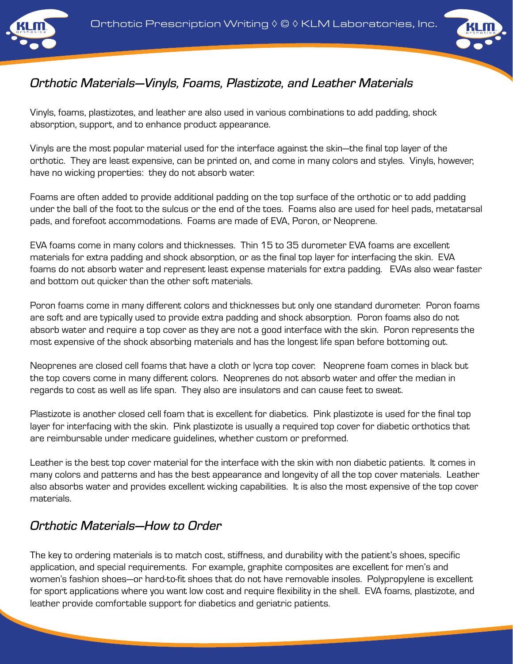





# *Orthotic Materials—Vinyls, Foams, Plastizote, and Leather Materials*

Vinyls, foams, plastizotes, and leather are also used in various combinations to add padding, shock absorption, support, and to enhance product appearance.

Vinyls are the most popular material used for the interface against the skin—the final top layer of the orthotic. They are least expensive, can be printed on, and come in many colors and styles. Vinyls, however, have no wicking properties: they do not absorb water.

Foams are often added to provide additional padding on the top surface of the orthotic or to add padding under the ball of the foot to the sulcus or the end of the toes. Foams also are used for heel pads, metatarsal pads, and forefoot accommodations. Foams are made of EVA, Poron, or Neoprene.

EVA foams come in many colors and thicknesses. Thin 15 to 35 durometer EVA foams are excellent materials for extra padding and shock absorption, or as the final top layer for interfacing the skin. EVA foams do not absorb water and represent least expense materials for extra padding. EVAs also wear faster and bottom out quicker than the other soft materials.

Poron foams come in many different colors and thicknesses but only one standard durometer. Poron foams are soft and are typically used to provide extra padding and shock absorption. Poron foams also do not absorb water and require a top cover as they are not a good interface with the skin. Poron represents the most expensive of the shock absorbing materials and has the longest life span before bottoming out.

Neoprenes are closed cell foams that have a cloth or lycra top cover. Neoprene foam comes in black but the top covers come in many different colors. Neoprenes do not absorb water and offer the median in regards to cost as well as life span. They also are insulators and can cause feet to sweat.

Plastizote is another closed cell foam that is excellent for diabetics. Pink plastizote is used for the final top layer for interfacing with the skin. Pink plastizote is usually a required top cover for diabetic orthotics that are reimbursable under medicare guidelines, whether custom or preformed.

Leather is the best top cover material for the interface with the skin with non diabetic patients. It comes in many colors and patterns and has the best appearance and longevity of all the top cover materials. Leather also absorbs water and provides excellent wicking capabilities. It is also the most expensive of the top cover materials.

# *Orthotic Materials—How to Order*

The key to ordering materials is to match cost, stiffness, and durability with the patient's shoes, specific application, and special requirements. For example, graphite composites are excellent for men's and women's fashion shoes—or hard-to-fit shoes that do not have removable insoles. Polypropylene is excellent for sport applications where you want low cost and require flexibility in the shell. EVA foams, plastizote, and leather provide comfortable support for diabetics and geriatric patients.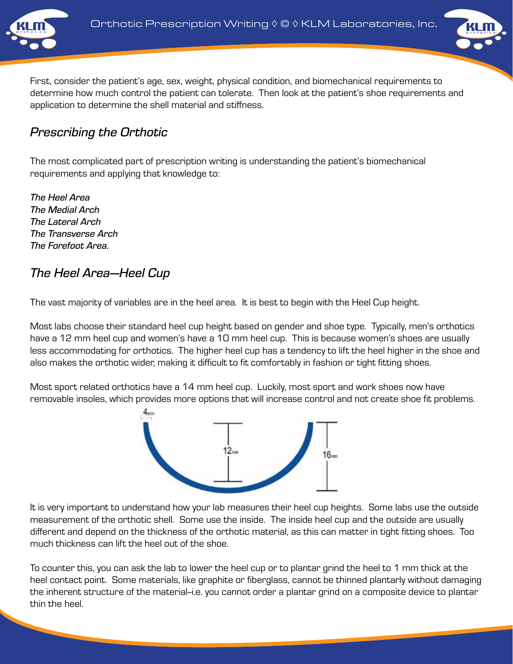



First, consider the patient's age, sex, weight, physical condition, and biomechanical requirements to determine how much control the patient can tolerate. Then look at the patient's shoe requirements and application to determine the shell material and stiffness.

#### *Prescribing the Orthotic*

The most complicated part of prescription writing is understanding the patient's biomechanical requirements and applying that knowledge to:

*The Heel Area The Medial Arch The Lateral Arch The Transverse Arch The Forefoot Area.*

# *The Heel Area—Heel Cup*

The vast majority of variables are in the heel area. It is best to begin with the Heel Cup height.

Most labs choose their standard heel cup height based on gender and shoe type. Typically, men's orthotics have a 12 mm heel cup and women's have a 10 mm heel cup. This is because women's shoes are usually less accommodating for orthotics. The higher heel cup has a tendency to lift the heel higher in the shoe and also makes the orthotic wider, making it difficult to fit comfortably in fashion or tight fitting shoes.

Most sport related orthotics have a 14 mm heel cup. Luckily, most sport and work shoes now have removable insoles, which provides more options that will increase control and not create shoe fit problems.



It is very important to understand how your lab measures their heel cup heights. Some labs use the outside measurement of the orthotic shell. Some use the inside. The inside heel cup and the outside are usually different and depend on the thickness of the orthotic material, as this can matter in tight fitting shoes. Too much thickness can lift the heel out of the shoe.

To counter this, you can ask the lab to lower the heel cup or to plantar grind the heel to 1 mm thick at the heel contact point. Some materials, like graphite or fiberglass, cannot be thinned plantarly without damaging the inherent structure of the material-i.e. you cannot order a plantar grind on a composite device to plantar thin the heel.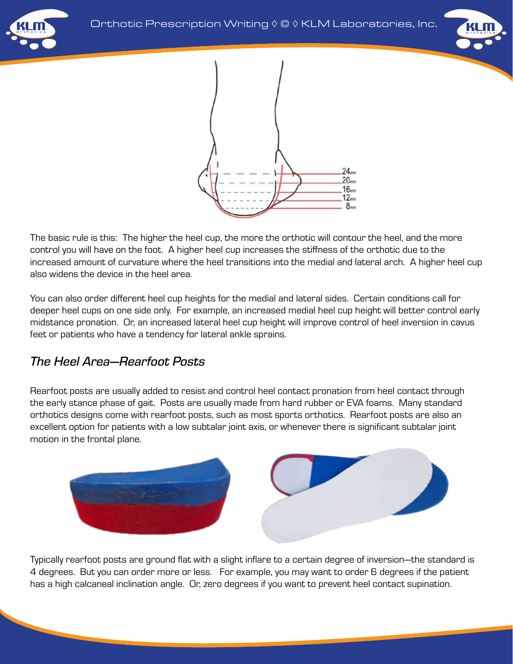





The basic rule is this: The higher the heel cup, the more the orthotic will contour the heel, and the more control you will have on the foot. A higher heel cup increases the stiffness of the orthotic due to the increased amount of curvature where the heel transitions into the medial and lateral arch. A higher heel cup also widens the device in the heel area.

You can also order different heel cup heights for the medial and lateral sides. Certain conditions call for deeper heel cups on one side only. For example, an increased medial heel cup height will better control early midstance pronation. Or, an increased lateral heel cup height will improve control of heel inversion in cavus feet or patients who have a tendency for lateral ankle sprains.

## *The Heel Area—Rearfoot Posts*

Rearfoot posts are usually added to resist and control heel contact pronation from heel contact through the early stance phase of gait. Posts are usually made from hard rubber or EVA foams. Many standard orthotics designs come with rearfoot posts, such as most sports orthotics. Rearfoot posts are also an excellent option for patients with a low subtalar joint axis, or whenever there is significant subtalar joint motion in the frontal plane.



Typically rearfoot posts are ground flat with a slight inflare to a certain degree of inversion—the standard is 4 degrees. But you can order more or less. For example, you may want to order 6 degrees if the patient has a high calcaneal inclination angle. Or, zero degrees if you want to prevent heel contact supination.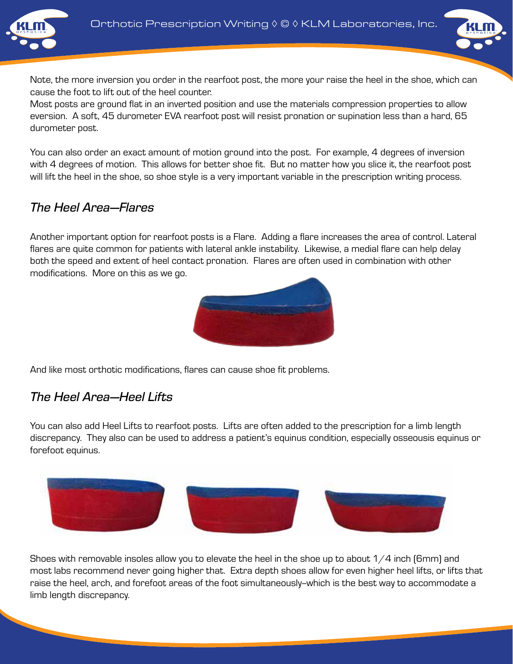



Note, the more inversion you order in the rearfoot post, the more your raise the heel in the shoe, which can cause the foot to lift out of the heel counter.

Most posts are ground flat in an inverted position and use the materials compression properties to allow eversion. A soft, 45 durometer EVA rearfoot post will resist pronation or supination less than a hard, 65 durometer post.

You can also order an exact amount of motion ground into the post. For example, 4 degrees of inversion with 4 degrees of motion. This allows for better shoe fit. But no matter how you slice it, the rearfoot post will lift the heel in the shoe, so shoe style is a very important variable in the prescription writing process.

## *The Heel Area—Flares*

Another important option for rearfoot posts is a Flare. Adding a flare increases the area of control. Lateral flares are quite common for patients with lateral ankle instability. Likewise, a medial flare can help delay both the speed and extent of heel contact pronation. Flares are often used in combination with other modifications. More on this as we go.



And like most orthotic modifications, flares can cause shoe fit problems.

## *The Heel Area—Heel Lifts*

You can also add Heel Lifts to rearfoot posts. Lifts are often added to the prescription for a limb length discrepancy. They also can be used to address a patient's equinus condition, especially osseousis equinus or forefoot equinus.



Shoes with removable insoles allow you to elevate the heel in the shoe up to about  $1/4$  inch (6mm) and most labs recommend never going higher that. Extra depth shoes allow for even higher heel lifts, or lifts that raise the heel, arch, and forefoot areas of the foot simultaneously--which is the best way to accommodate a limb length discrepancy.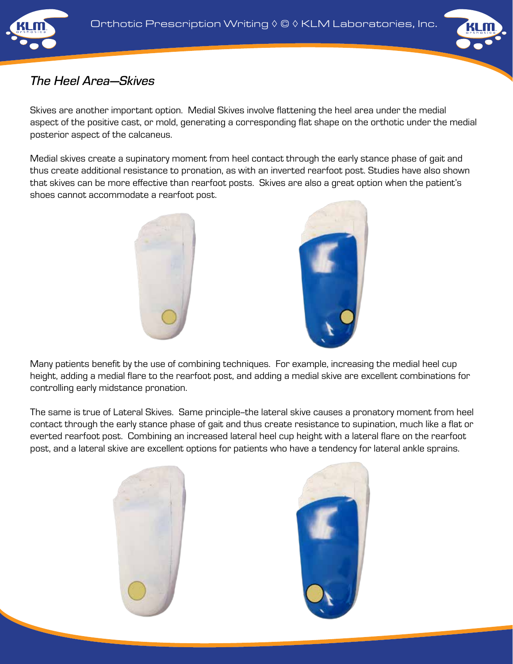



# *The Heel Area—Skives*

Skives are another important option. Medial Skives involve flattening the heel area under the medial aspect of the positive cast, or mold, generating a corresponding flat shape on the orthotic under the medial posterior aspect of the calcaneus.

Medial skives create a supinatory moment from heel contact through the early stance phase of gait and thus create additional resistance to pronation, as with an inverted rearfoot post. Studies have also shown that skives can be more effective than rearfoot posts. Skives are also a great option when the patient's shoes cannot accommodate a rearfoot post.





Many patients benefit by the use of combining techniques. For example, increasing the medial heel cup height, adding a medial flare to the rearfoot post, and adding a medial skive are excellent combinations for controlling early midstance pronation.

The same is true of Lateral Skives. Same principle--the lateral skive causes a pronatory moment from heel contact through the early stance phase of gait and thus create resistance to supination, much like a flat or everted rearfoot post. Combining an increased lateral heel cup height with a lateral flare on the rearfoot post, and a lateral skive are excellent options for patients who have a tendency for lateral ankle sprains.



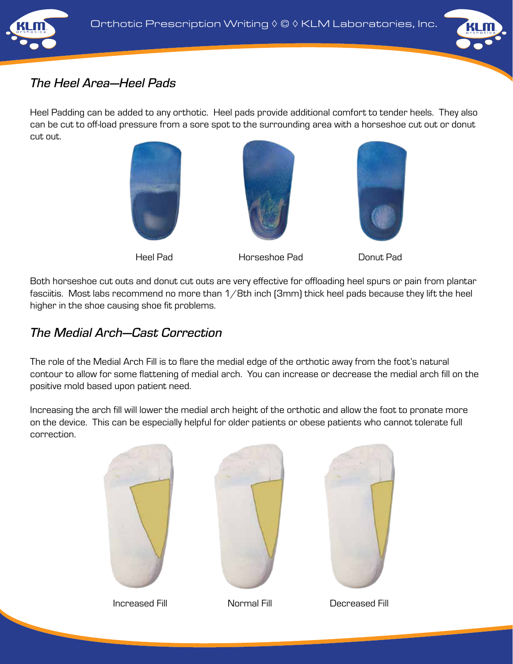



# *The Heel Area—Heel Pads*

Heel Padding can be added to any orthotic. Heel pads provide additional comfort to tender heels. They also can be cut to off-load pressure from a sore spot to the surrounding area with a horseshoe cut out or donut cut out.





Heel Pad Horseshoe Pad Donut Pad



Both horseshoe cut outs and donut cut outs are very effective for offloading heel spurs or pain from plantar fasciitis. Most labs recommend no more than  $1/8$ th inch (3mm) thick heel pads because they lift the heel higher in the shoe causing shoe fit problems.

## *The Medial Arch—Cast Correction*

The role of the Medial Arch Fill is to flare the medial edge of the orthotic away from the foot's natural contour to allow for some flattening of medial arch. You can increase or decrease the medial arch fill on the positive mold based upon patient need.

Increasing the arch fill will lower the medial arch height of the orthotic and allow the foot to pronate more on the device. This can be especially helpful for older patients or obese patients who cannot tolerate full correction.







Increased Fill Normal Fill Decreased Fill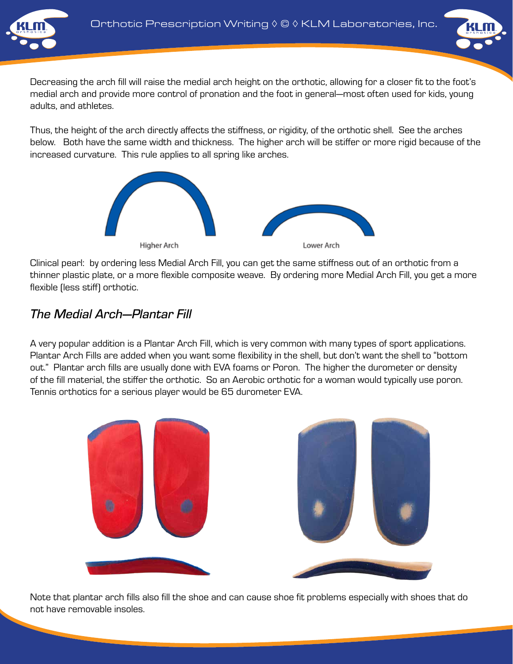



Decreasing the arch fill will raise the medial arch height on the orthotic, allowing for a closer fit to the foot's medial arch and provide more control of pronation and the foot in general—most often used for kids, young adults, and athletes.

Thus, the height of the arch directly affects the stiffness, or rigidity, of the orthotic shell. See the arches below. Both have the same width and thickness. The higher arch will be stiffer or more rigid because of the increased curvature. This rule applies to all spring like arches.



Clinical pearl: by ordering less Medial Arch Fill, you can get the same stiffness out of an orthotic from a thinner plastic plate, or a more flexible composite weave. By ordering more Medial Arch Fill, you get a more flexible (less stiff) orthotic.

# *The Medial Arch—Plantar Fill*

A very popular addition is a Plantar Arch Fill, which is very common with many types of sport applications. Plantar Arch Fills are added when you want some flexibility in the shell, but don't want the shell to "bottom out." Plantar arch fills are usually done with EVA foams or Poron. The higher the durometer or density of the fill material, the stiffer the orthotic. So an Aerobic orthotic for a woman would typically use poron. Tennis orthotics for a serious player would be 65 durometer EVA.



Note that plantar arch fills also fill the shoe and can cause shoe fit problems especially with shoes that do not have removable insoles.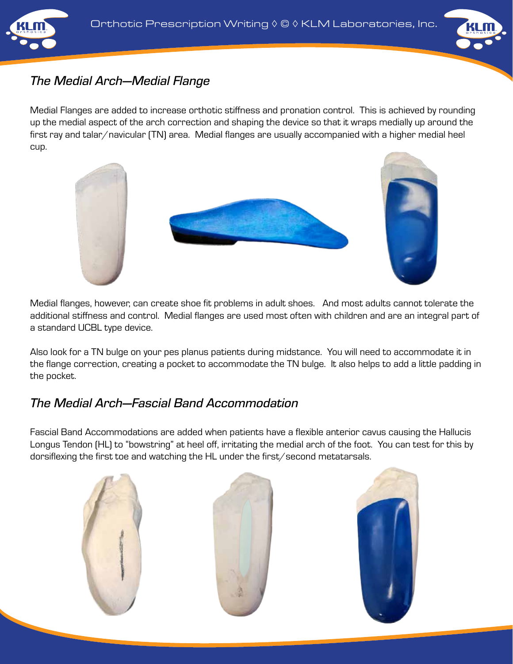



#### *The Medial Arch—Medial Flange*

Medial Flanges are added to increase orthotic stiffness and pronation control. This is achieved by rounding up the medial aspect of the arch correction and shaping the device so that it wraps medially up around the first ray and talar/navicular (TN) area. Medial flanges are usually accompanied with a higher medial heel cup.



Medial flanges, however, can create shoe fit problems in adult shoes. And most adults cannot tolerate the additional stiffness and control. Medial flanges are used most often with children and are an integral part of a standard UCBL type device.

Also look for a TN bulge on your pes planus patients during midstance. You will need to accommodate it in the flange correction, creating a pocket to accommodate the TN bulge. It also helps to add a little padding in the pocket.

## *The Medial Arch—Fascial Band Accommodation*

Fascial Band Accommodations are added when patients have a flexible anterior cavus causing the Hallucis Longus Tendon (HL) to "bowstring" at heel off, irritating the medial arch of the foot. You can test for this by dorsiflexing the first toe and watching the HL under the first/second metatarsals.

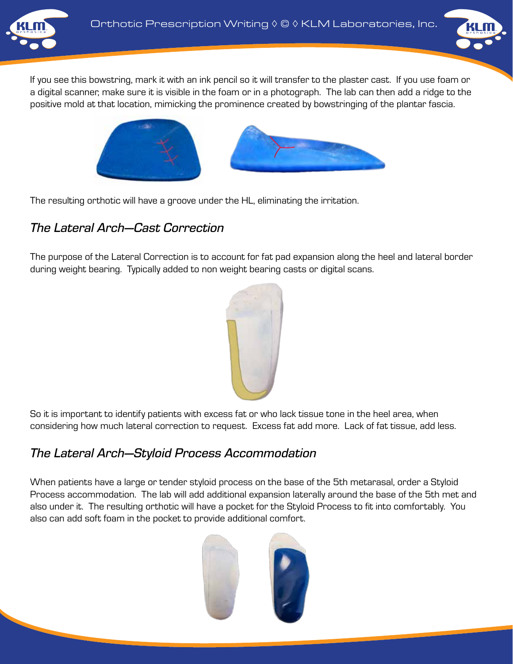



If you see this bowstring, mark it with an ink pencil so it will transfer to the plaster cast. If you use foam or a digital scanner, make sure it is visible in the foam or in a photograph. The lab can then add a ridge to the positive mold at that location, mimicking the prominence created by bowstringing of the plantar fascia.



The resulting orthotic will have a groove under the HL, eliminating the irritation.

## *The Lateral Arch—Cast Correction*

The purpose of the Lateral Correction is to account for fat pad expansion along the heel and lateral border during weight bearing. Typically added to non weight bearing casts or digital scans.



So it is important to identify patients with excess fat or who lack tissue tone in the heel area, when considering how much lateral correction to request. Excess fat add more. Lack of fat tissue, add less.

# *The Lateral Arch—Styloid Process Accommodation*

When patients have a large or tender styloid process on the base of the 5th metarasal, order a Styloid Process accommodation. The lab will add additional expansion laterally around the base of the 5th met and also under it. The resulting orthotic will have a pocket for the Styloid Process to fit into comfortably. You also can add soft foam in the pocket to provide additional comfort.

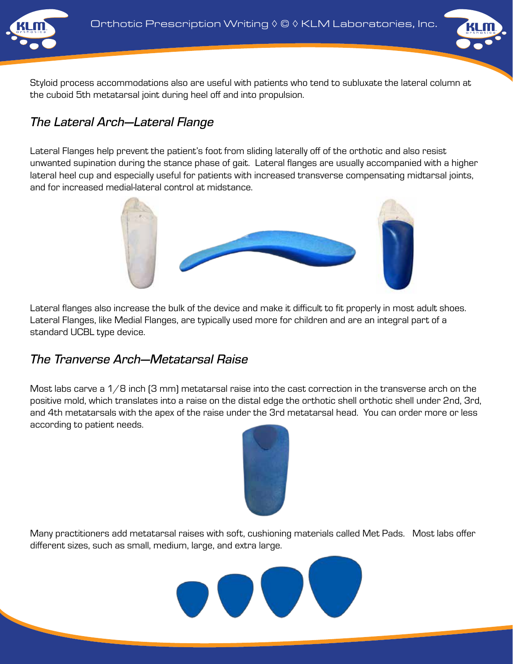

Styloid process accommodations also are useful with patients who tend to subluxate the lateral column at the cuboid 5th metatarsal joint during heel off and into propulsion.

# *The Lateral Arch—Lateral Flange*

Lateral Flanges help prevent the patient's foot from sliding laterally off of the orthotic and also resist unwanted supination during the stance phase of gait. Lateral flanges are usually accompanied with a higher lateral heel cup and especially useful for patients with increased transverse compensating midtarsal joints, and for increased medial-lateral control at midstance.



Lateral flanges also increase the bulk of the device and make it difficult to fit properly in most adult shoes. Lateral Flanges, like Medial Flanges, are typically used more for children and are an integral part of a standard UCBL type device.

#### *The Tranverse Arch—Metatarsal Raise*

Most labs carve a  $1/8$  inch  $[3 \text{ mm}]$  metatarsal raise into the cast correction in the transverse arch on the positive mold, which translates into a raise on the distal edge the orthotic shell orthotic shell under 2nd, 3rd, and 4th metatarsals with the apex of the raise under the 3rd metatarsal head. You can order more or less according to patient needs.



Many practitioners add metatarsal raises with soft, cushioning materials called Met Pads. Most labs offer different sizes, such as small, medium, large, and extra large.

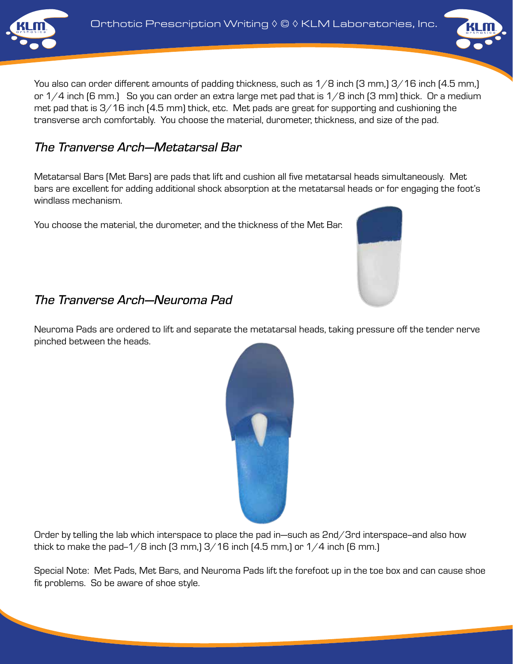



#### *The Tranverse Arch—Metatarsal Bar*

Metatarsal Bars (Met Bars) are pads that lift and cushion all five metatarsal heads simultaneously. Met bars are excellent for adding additional shock absorption at the metatarsal heads or for engaging the foot's windlass mechanism.

You choose the material, the durometer, and the thickness of the Met Bar.

#### *The Tranverse Arch—Neuroma Pad*

Neuroma Pads are ordered to lift and separate the metatarsal heads, taking pressure off the tender nerve pinched between the heads.



Order by telling the lab which interspace to place the pad in—such as 2nd/3rd interspace-and also how thick to make the pad- $1/8$  inch  $[3 \text{ mm}]$   $3/16$  inch  $[4.5 \text{ mm}]$  or  $1/4$  inch  $[6 \text{ mm}]$ 

Special Note: Met Pads, Met Bars, and Neuroma Pads lift the forefoot up in the toe box and can cause shoe fit problems. So be aware of shoe style.



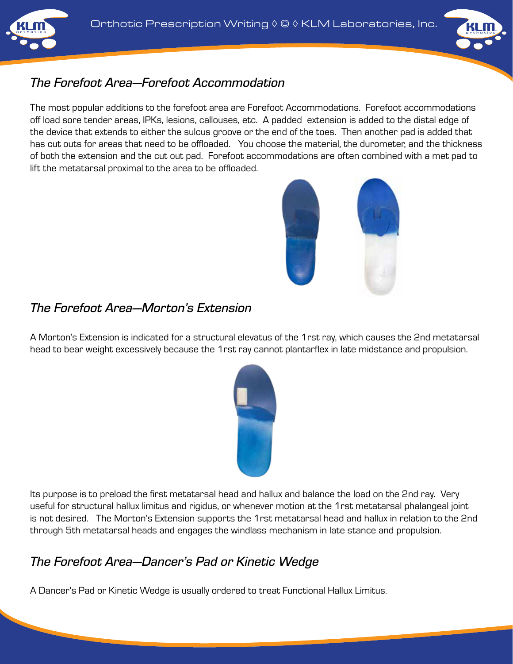



# *The Forefoot Area—Forefoot Accommodation*

The most popular additions to the forefoot area are Forefoot Accommodations. Forefoot accommodations off load sore tender areas, IPKs, lesions, callouses, etc. A padded extension is added to the distal edge of the device that extends to either the sulcus groove or the end of the toes. Then another pad is added that has cut outs for areas that need to be offloaded. You choose the material, the durometer, and the thickness of both the extension and the cut out pad. Forefoot accommodations are often combined with a met pad to lift the metatarsal proximal to the area to be offloaded.



# *The Forefoot Area—Morton's Extension*

A Morton's Extension is indicated for a structural elevatus of the 1rst ray, which causes the 2nd metatarsal head to bear weight excessively because the 1rst ray cannot plantarflex in late midstance and propulsion.



Its purpose is to preload the first metatarsal head and hallux and balance the load on the 2nd ray. Very useful for structural hallux limitus and rigidus, or whenever motion at the 1rst metatarsal phalangeal joint is not desired. The Morton's Extension supports the 1rst metatarsal head and hallux in relation to the 2nd through 5th metatarsal heads and engages the windlass mechanism in late stance and propulsion.

# *The Forefoot Area—Dancer's Pad or Kinetic Wedge*

A Dancer's Pad or Kinetic Wedge is usually ordered to treat Functional Hallux Limitus.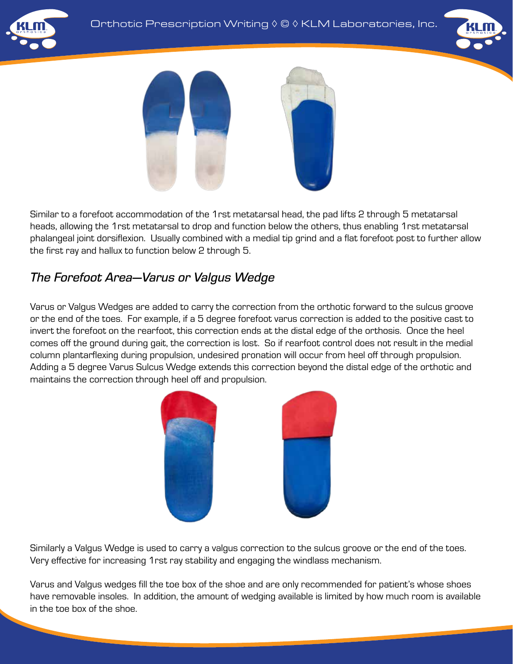





Similar to a forefoot accommodation of the 1rst metatarsal head, the pad lifts 2 through 5 metatarsal heads, allowing the 1rst metatarsal to drop and function below the others, thus enabling 1rst metatarsal phalangeal joint dorsiflexion. Usually combined with a medial tip grind and a flat forefoot post to further allow the first ray and hallux to function below 2 through 5.

# *The Forefoot Area—Varus or Valgus Wedge*

Varus or Valgus Wedges are added to carry the correction from the orthotic forward to the sulcus groove or the end of the toes. For example, if a 5 degree forefoot varus correction is added to the positive cast to invert the forefoot on the rearfoot, this correction ends at the distal edge of the orthosis. Once the heel comes off the ground during gait, the correction is lost. So if rearfoot control does not result in the medial column plantarflexing during propulsion, undesired pronation will occur from heel off through propulsion. Adding a 5 degree Varus Sulcus Wedge extends this correction beyond the distal edge of the orthotic and maintains the correction through heel off and propulsion.



Similarly a Valgus Wedge is used to carry a valgus correction to the sulcus groove or the end of the toes. Very effective for increasing 1rst ray stability and engaging the windlass mechanism.

Varus and Valgus wedges fill the toe box of the shoe and are only recommended for patient's whose shoes have removable insoles. In addition, the amount of wedging available is limited by how much room is available in the toe box of the shoe.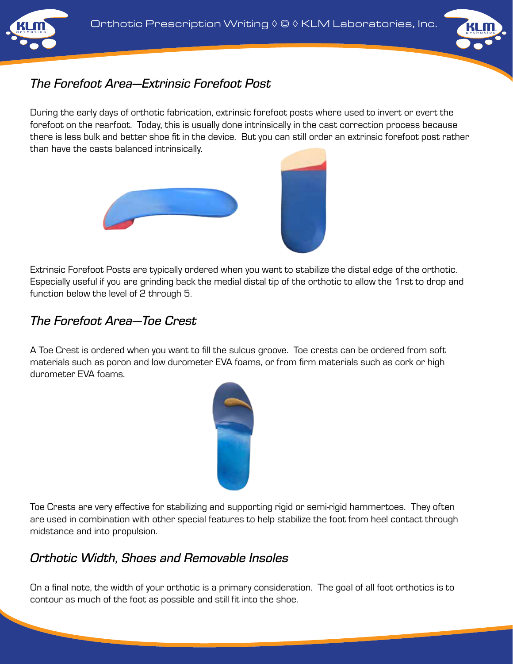



## *The Forefoot Area—Extrinsic Forefoot Post*

During the early days of orthotic fabrication, extrinsic forefoot posts where used to invert or evert the forefoot on the rearfoot. Today, this is usually done intrinsically in the cast correction process because there is less bulk and better shoe fit in the device. But you can still order an extrinsic forefoot post rather than have the casts balanced intrinsically.



Extrinsic Forefoot Posts are typically ordered when you want to stabilize the distal edge of the orthotic. Especially useful if you are grinding back the medial distal tip of the orthotic to allow the 1rst to drop and function below the level of 2 through 5.

#### *The Forefoot Area—Toe Crest*

A Toe Crest is ordered when you want to fill the sulcus groove. Toe crests can be ordered from soft materials such as poron and low durometer EVA foams, or from firm materials such as cork or high durometer EVA foams.



Toe Crests are very effective for stabilizing and supporting rigid or semi-rigid hammertoes. They often are used in combination with other special features to help stabilize the foot from heel contact through midstance and into propulsion.

## *Orthotic Width, Shoes and Removable Insoles*

On a final note, the width of your orthotic is a primary consideration. The goal of all foot orthotics is to contour as much of the foot as possible and still fit into the shoe.